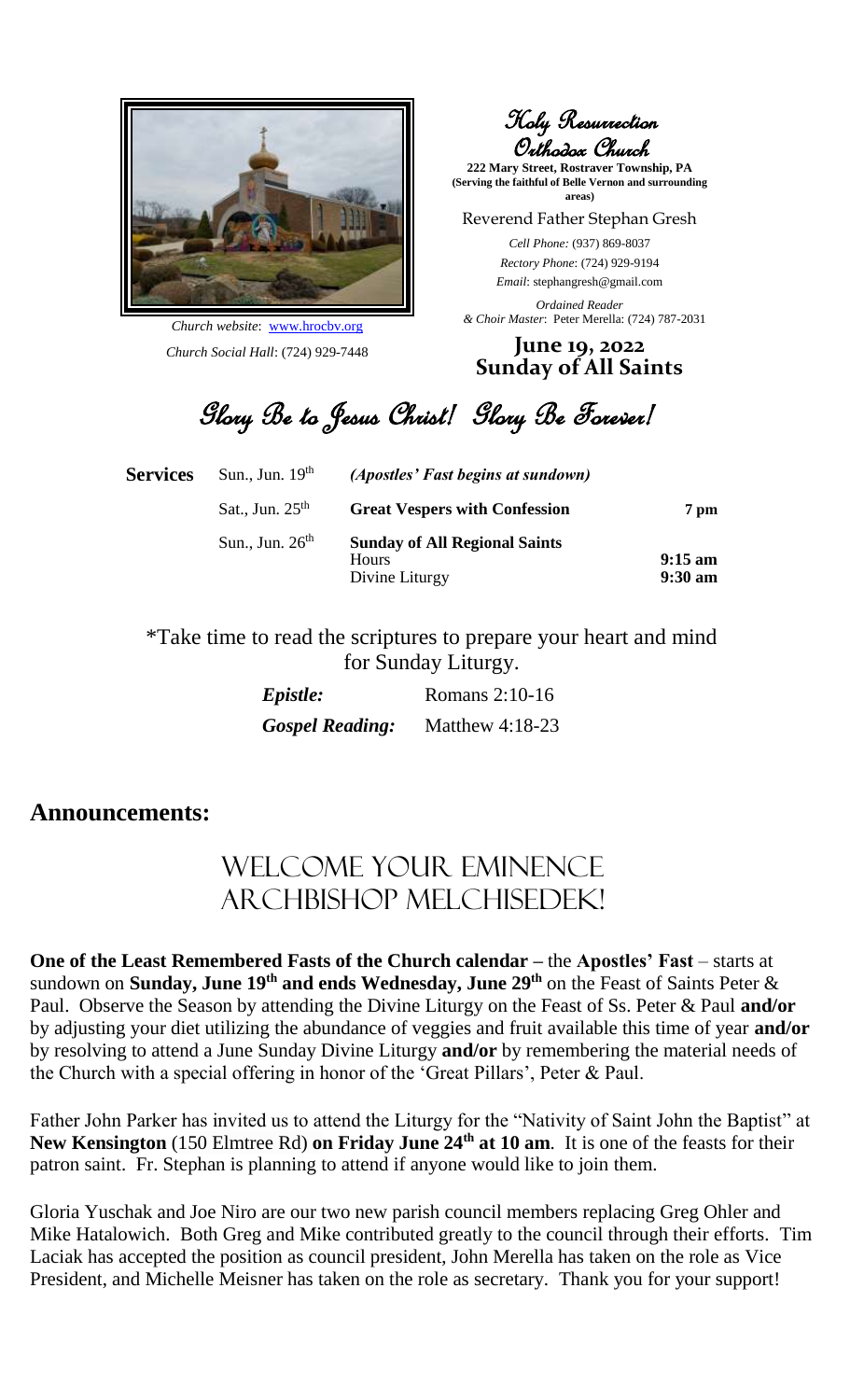

*Church website*: www.hrocbv.org *Church Social Hall*: (724) 929-7448

Holy Resurrection Orthodox Church

**222 Mary Street, Rostraver Township, PA (Serving the faithful of Belle Vernon and surrounding areas)**

Reverend Father Stephan Gresh

*Cell Phone:* (937) 869-8037 *Rectory Phone*: (724) 929-9194 *Email*: stephangresh@gmail.com

*Ordained Reader & Choir Master*: Peter Merella: (724) 787-2031

## **June 19, 2022 Sunday of All Saints**

Glory Be to Jesus Christ! Glory Be Forever!

| <b>Services</b> | Sun., Jun. $19th$ | (Apostles' Fast begins at sundown)                              |                                        |
|-----------------|-------------------|-----------------------------------------------------------------|----------------------------------------|
|                 | Sat., Jun. $25th$ | <b>Great Vespers with Confession</b>                            | 7 pm                                   |
|                 | Sun., Jun. $26th$ | <b>Sunday of All Regional Saints</b><br>Hours<br>Divine Liturgy | $9:15 \text{ am}$<br>$9:30 \text{ am}$ |

\*Take time to read the scriptures to prepare your heart and mind for Sunday Liturgy.

| Epistle:               | Romans 2:10-16    |
|------------------------|-------------------|
| <b>Gospel Reading:</b> | Matthew $4:18-23$ |

## **Announcements:**

## Welcome Your Eminence Archbishop Melchisedek!

**One of the Least Remembered Fasts of the Church calendar –** the **Apostles' Fast** – starts at sundown on **Sunday, June 19th and ends Wednesday, June 29th** on the Feast of Saints Peter & Paul. Observe the Season by attending the Divine Liturgy on the Feast of Ss. Peter & Paul **and/or** by adjusting your diet utilizing the abundance of veggies and fruit available this time of year **and/or** by resolving to attend a June Sunday Divine Liturgy **and/or** by remembering the material needs of the Church with a special offering in honor of the 'Great Pillars', Peter & Paul.

Father John Parker has invited us to attend the Liturgy for the "Nativity of Saint John the Baptist" at **New Kensington** (150 Elmtree Rd) **on Friday June 24th at 10 am**. It is one of the feasts for their patron saint. Fr. Stephan is planning to attend if anyone would like to join them.

Gloria Yuschak and Joe Niro are our two new parish council members replacing Greg Ohler and Mike Hatalowich. Both Greg and Mike contributed greatly to the council through their efforts. Tim Laciak has accepted the position as council president, John Merella has taken on the role as Vice President, and Michelle Meisner has taken on the role as secretary. Thank you for your support!